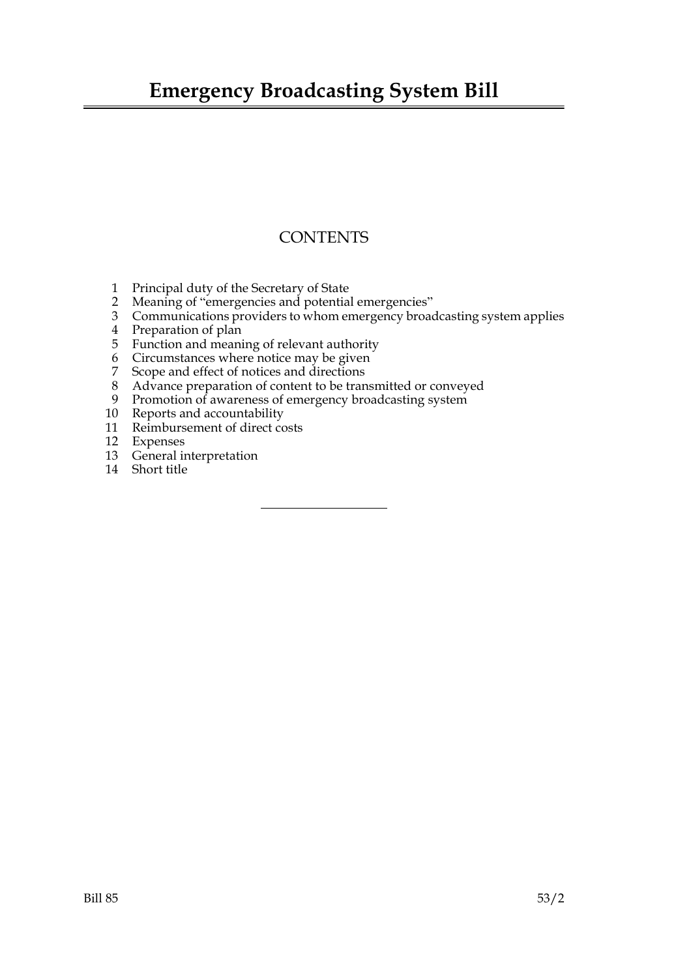## **Emergency Broadcasting System Bill**

### **CONTENTS**

- 1 Principal duty of the Secretary of State
- 2 Meaning of "emergencies and potential emergencies"
- 3 Communications providers to whom emergency broadcasting system applies
- 4 Preparation of plan
- 5 Function and meaning of relevant authority
- 6 Circumstances where notice may be given
- 7 Scope and effect of notices and directions
- 8 Advance preparation of content to be transmitted or conveyed
- 9 Promotion of awareness of emergency broadcasting system
- 10 Reports and accountability
- 11 Reimbursement of direct costs
- 12 Expenses
- 13 General interpretation
- 14 Short title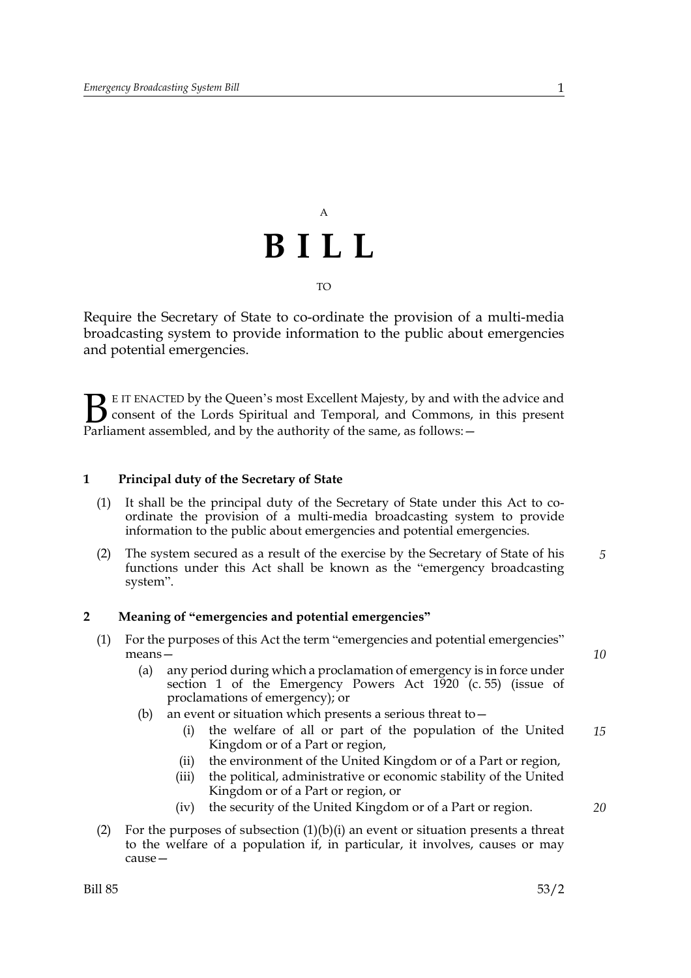# A **BILL** TO

Require the Secretary of State to co-ordinate the provision of a multi-media broadcasting system to provide information to the public about emergencies and potential emergencies.

E IT ENACTED by the Queen's most Excellent Majesty, by and with the advice and consent of the Lords Spiritual and Temporal, and Commons, in this present Parliament assembled, and by the authority of the same, as follows: - $B_{\text{p}}$ 

#### **1 Principal duty of the Secretary of State**

- (1) It shall be the principal duty of the Secretary of State under this Act to coordinate the provision of a multi-media broadcasting system to provide information to the public about emergencies and potential emergencies.
- (2) The system secured as a result of the exercise by the Secretary of State of his functions under this Act shall be known as the "emergency broadcasting system". *5*

#### **2 Meaning of "emergencies and potential emergencies"**

- (1) For the purposes of this Act the term "emergencies and potential emergencies" means—
	- (a) any period during which a proclamation of emergency is in force under section 1 of the Emergency Powers Act 1920 (c. 55) (issue of proclamations of emergency); or
	- (b) an event or situation which presents a serious threat to—
		- (i) the welfare of all or part of the population of the United Kingdom or of a Part or region, *15*
		- (ii) the environment of the United Kingdom or of a Part or region,
		- (iii) the political, administrative or economic stability of the United Kingdom or of a Part or region, or
		- (iv) the security of the United Kingdom or of a Part or region.
- (2) For the purposes of subsection  $(1)(b)(i)$  an event or situation presents a threat to the welfare of a population if, in particular, it involves, causes or may cause—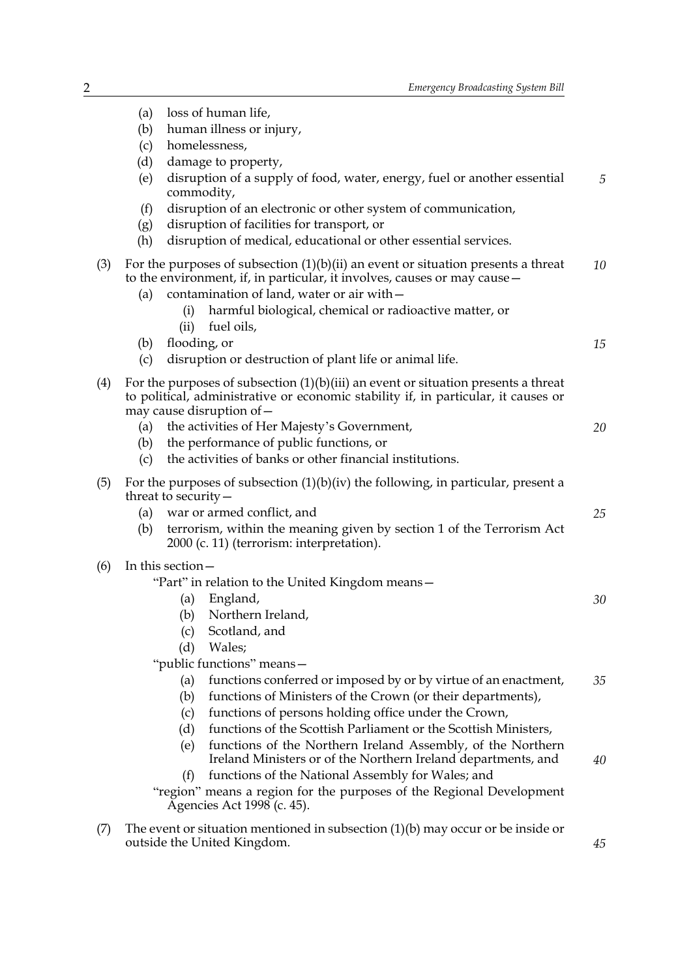|     | (b)                                                                                                | human illness or injury,<br>homelessness,                                                                                                                                                                                                                                                             |    |
|-----|----------------------------------------------------------------------------------------------------|-------------------------------------------------------------------------------------------------------------------------------------------------------------------------------------------------------------------------------------------------------------------------------------------------------|----|
|     | (c)<br>(d)                                                                                         | damage to property,                                                                                                                                                                                                                                                                                   |    |
|     | (e)                                                                                                | disruption of a supply of food, water, energy, fuel or another essential                                                                                                                                                                                                                              | 5  |
|     |                                                                                                    | commodity,                                                                                                                                                                                                                                                                                            |    |
|     | (f)                                                                                                | disruption of an electronic or other system of communication,                                                                                                                                                                                                                                         |    |
|     | (g)                                                                                                | disruption of facilities for transport, or                                                                                                                                                                                                                                                            |    |
|     | (h)                                                                                                | disruption of medical, educational or other essential services.                                                                                                                                                                                                                                       |    |
| (3) | (a)                                                                                                | For the purposes of subsection $(1)(b)(ii)$ an event or situation presents a threat<br>to the environment, if, in particular, it involves, causes or may cause –<br>contamination of land, water or air with -<br>harmful biological, chemical or radioactive matter, or<br>(i)<br>fuel oils,<br>(ii) | 10 |
|     | (b)                                                                                                | flooding, or                                                                                                                                                                                                                                                                                          | 15 |
|     | (c)                                                                                                | disruption or destruction of plant life or animal life.                                                                                                                                                                                                                                               |    |
| (4) |                                                                                                    | For the purposes of subsection $(1)(b)(iii)$ an event or situation presents a threat<br>to political, administrative or economic stability if, in particular, it causes or<br>may cause disruption of -                                                                                               |    |
|     | (a)                                                                                                | the activities of Her Majesty's Government,                                                                                                                                                                                                                                                           | 20 |
|     | (b)                                                                                                | the performance of public functions, or                                                                                                                                                                                                                                                               |    |
|     | (c)                                                                                                | the activities of banks or other financial institutions.                                                                                                                                                                                                                                              |    |
| (5) | For the purposes of subsection $(1)(b)(iv)$ the following, in particular, present a                |                                                                                                                                                                                                                                                                                                       |    |
|     |                                                                                                    | threat to security $-$                                                                                                                                                                                                                                                                                |    |
|     | (a)                                                                                                | war or armed conflict, and                                                                                                                                                                                                                                                                            | 25 |
|     | (b)                                                                                                | terrorism, within the meaning given by section 1 of the Terrorism Act<br>2000 (c. 11) (terrorism: interpretation).                                                                                                                                                                                    |    |
|     | In this section -                                                                                  |                                                                                                                                                                                                                                                                                                       |    |
| (6) | "Part" in relation to the United Kingdom means—                                                    |                                                                                                                                                                                                                                                                                                       |    |
|     | England,<br>(a)                                                                                    |                                                                                                                                                                                                                                                                                                       | 30 |
|     |                                                                                                    | Northern Ireland,<br>(b)                                                                                                                                                                                                                                                                              |    |
|     |                                                                                                    | Scotland, and<br>(c)                                                                                                                                                                                                                                                                                  |    |
|     | (d)<br>Wales;                                                                                      |                                                                                                                                                                                                                                                                                                       |    |
|     | "public functions" means-                                                                          |                                                                                                                                                                                                                                                                                                       |    |
|     | functions conferred or imposed by or by virtue of an enactment,<br>(a)                             |                                                                                                                                                                                                                                                                                                       | 35 |
|     |                                                                                                    | functions of Ministers of the Crown (or their departments),<br>(b)                                                                                                                                                                                                                                    |    |
|     |                                                                                                    | functions of persons holding office under the Crown,<br>(c)                                                                                                                                                                                                                                           |    |
|     |                                                                                                    | functions of the Scottish Parliament or the Scottish Ministers,<br>(d)                                                                                                                                                                                                                                |    |
|     |                                                                                                    | functions of the Northern Ireland Assembly, of the Northern<br>(e)<br>Ireland Ministers or of the Northern Ireland departments, and                                                                                                                                                                   | 40 |
|     |                                                                                                    | functions of the National Assembly for Wales; and<br>(f)                                                                                                                                                                                                                                              |    |
|     | "region" means a region for the purposes of the Regional Development<br>Agencies Act 1998 (c. 45). |                                                                                                                                                                                                                                                                                                       |    |
| (7) | The event or situation mentioned in subsection $(1)(b)$ may occur or be inside or                  |                                                                                                                                                                                                                                                                                                       |    |

(a) loss of human life,

outside the United Kingdom.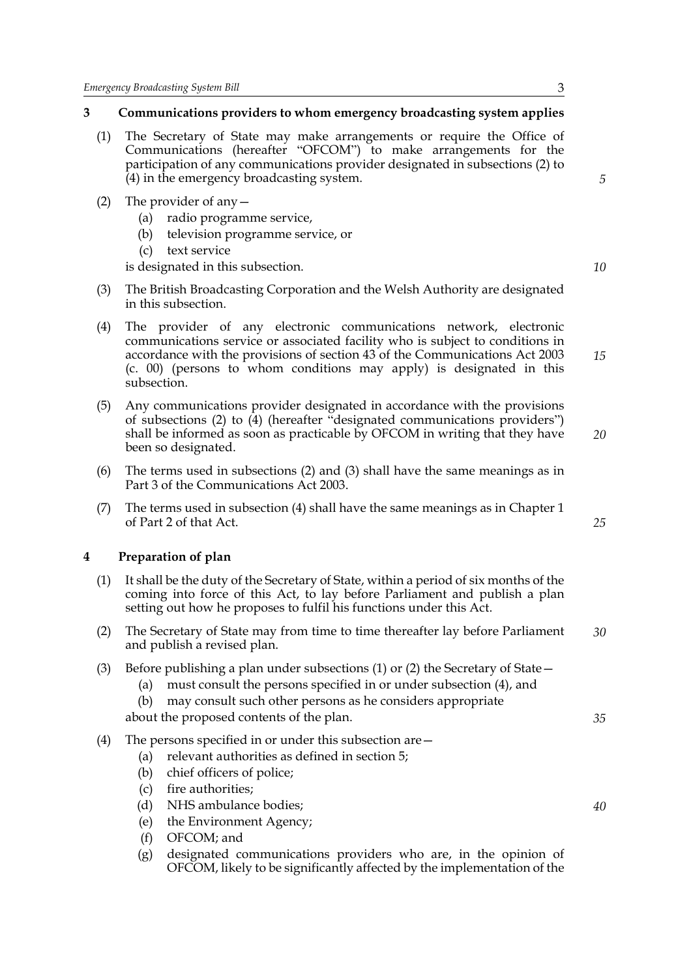#### **3 Communications providers to whom emergency broadcasting system applies**

- (1) The Secretary of State may make arrangements or require the Office of Communications (hereafter "OFCOM") to make arrangements for the participation of any communications provider designated in subsections (2) to (4) in the emergency broadcasting system.
- (2) The provider of any—
	- (a) radio programme service,
	- (b) television programme service, or
	- (c) text service

is designated in this subsection.

- (3) The British Broadcasting Corporation and the Welsh Authority are designated in this subsection.
- (4) The provider of any electronic communications network, electronic communications service or associated facility who is subject to conditions in accordance with the provisions of section 43 of the Communications Act 2003 (c. 00) (persons to whom conditions may apply) is designated in this subsection.
- (5) Any communications provider designated in accordance with the provisions of subsections (2) to (4) (hereafter "designated communications providers") shall be informed as soon as practicable by OFCOM in writing that they have been so designated. *20*
- (6) The terms used in subsections (2) and (3) shall have the same meanings as in Part 3 of the Communications Act 2003.
- (7) The terms used in subsection (4) shall have the same meanings as in Chapter 1 of Part 2 of that Act.

#### **4 Preparation of plan**

- (1) It shall be the duty of the Secretary of State, within a period of six months of the coming into force of this Act, to lay before Parliament and publish a plan setting out how he proposes to fulfil his functions under this Act.
- (2) The Secretary of State may from time to time thereafter lay before Parliament and publish a revised plan. *30*
- (3) Before publishing a plan under subsections (1) or (2) the Secretary of State—
	- (a) must consult the persons specified in or under subsection (4), and
	- (b) may consult such other persons as he considers appropriate

about the proposed contents of the plan.

- (4) The persons specified in or under this subsection are—
	- (a) relevant authorities as defined in section 5;
	- (b) chief officers of police;
	- (c) fire authorities;
	- (d) NHS ambulance bodies;
	- (e) the Environment Agency;
	- (f) OFCOM; and
	- (g) designated communications providers who are, in the opinion of OFCOM, likely to be significantly affected by the implementation of the

#### *25*

*35*

*15*

*5*

*10*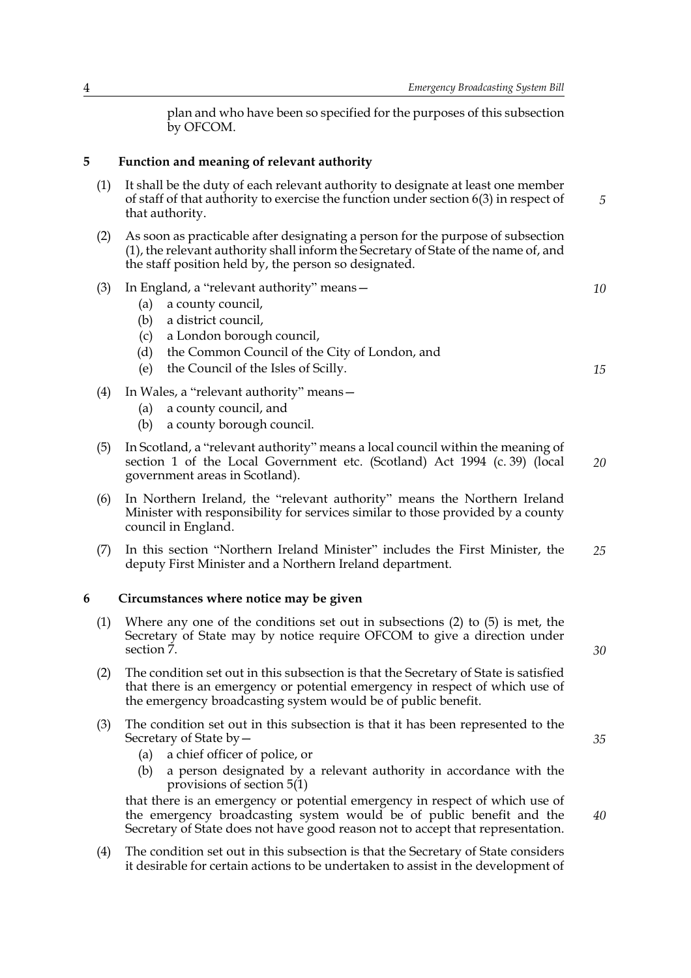plan and who have been so specified for the purposes of this subsection by OFCOM.

#### **5 Function and meaning of relevant authority**

- (1) It shall be the duty of each relevant authority to designate at least one member of staff of that authority to exercise the function under section 6(3) in respect of that authority.
- (2) As soon as practicable after designating a person for the purpose of subsection (1), the relevant authority shall inform the Secretary of State of the name of, and the staff position held by, the person so designated.
- (3) In England, a "relevant authority" means—
	- (a) a county council,
	- (b) a district council,
	- (c) a London borough council,
	- (d) the Common Council of the City of London, and
	- (e) the Council of the Isles of Scilly.
- (4) In Wales, a "relevant authority" means—
	- (a) a county council, and
	- (b) a county borough council.
- (5) In Scotland, a "relevant authority" means a local council within the meaning of section 1 of the Local Government etc. (Scotland) Act 1994 (c. 39) (local government areas in Scotland). *20*
- (6) In Northern Ireland, the "relevant authority" means the Northern Ireland Minister with responsibility for services similar to those provided by a county council in England.
- (7) In this section "Northern Ireland Minister" includes the First Minister, the deputy First Minister and a Northern Ireland department. *25*

#### **6 Circumstances where notice may be given**

- (1) Where any one of the conditions set out in subsections (2) to (5) is met, the Secretary of State may by notice require OFCOM to give a direction under section  $\overline{7}$ .
- (2) The condition set out in this subsection is that the Secretary of State is satisfied that there is an emergency or potential emergency in respect of which use of the emergency broadcasting system would be of public benefit.
- (3) The condition set out in this subsection is that it has been represented to the Secretary of State by—
	- (a) a chief officer of police, or
	- (b) a person designated by a relevant authority in accordance with the provisions of section 5(1)

that there is an emergency or potential emergency in respect of which use of the emergency broadcasting system would be of public benefit and the Secretary of State does not have good reason not to accept that representation.

(4) The condition set out in this subsection is that the Secretary of State considers it desirable for certain actions to be undertaken to assist in the development of

*15*

*5*

*10*

*30*

*35*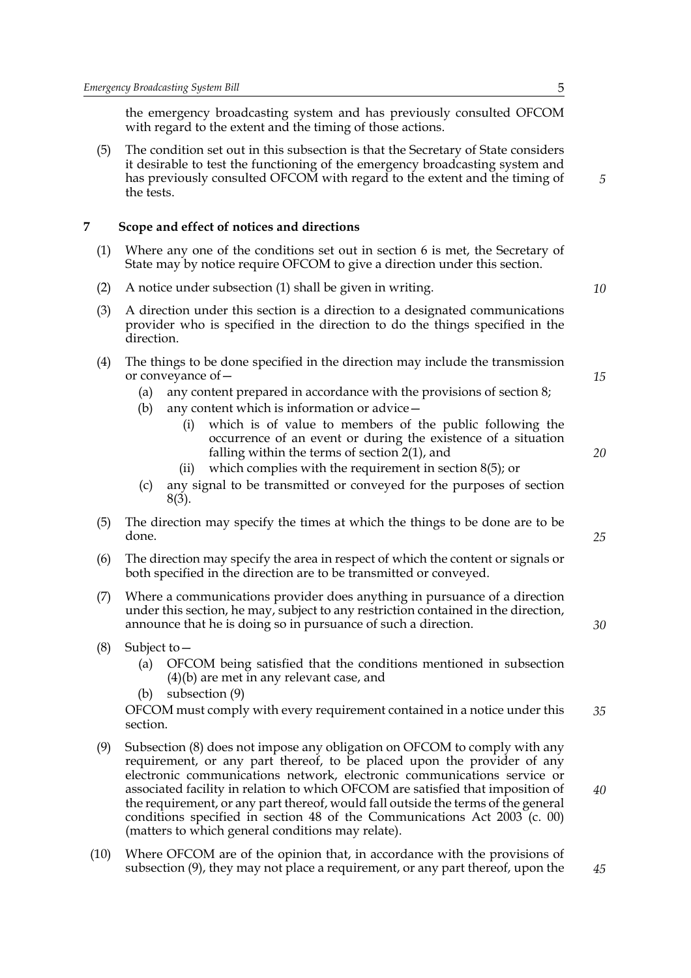the emergency broadcasting system and has previously consulted OFCOM with regard to the extent and the timing of those actions.

(5) The condition set out in this subsection is that the Secretary of State considers it desirable to test the functioning of the emergency broadcasting system and has previously consulted OFCOM with regard to the extent and the timing of the tests.

#### **7 Scope and effect of notices and directions**

- (1) Where any one of the conditions set out in section 6 is met, the Secretary of State may by notice require OFCOM to give a direction under this section.
- (2) A notice under subsection (1) shall be given in writing.
- (3) A direction under this section is a direction to a designated communications provider who is specified in the direction to do the things specified in the direction.
- (4) The things to be done specified in the direction may include the transmission or conveyance of—
	- (a) any content prepared in accordance with the provisions of section 8;
	- (b) any content which is information or advice—
		- (i) which is of value to members of the public following the occurrence of an event or during the existence of a situation falling within the terms of section 2(1), and
		- (ii) which complies with the requirement in section 8(5); or
	- (c) any signal to be transmitted or conveyed for the purposes of section 8(3).
- (5) The direction may specify the times at which the things to be done are to be done.
- (6) The direction may specify the area in respect of which the content or signals or both specified in the direction are to be transmitted or conveyed.
- (7) Where a communications provider does anything in pursuance of a direction under this section, he may, subject to any restriction contained in the direction, announce that he is doing so in pursuance of such a direction.
- (8) Subject to—
	- (a) OFCOM being satisfied that the conditions mentioned in subsection (4)(b) are met in any relevant case, and
	- (b) subsection (9)

OFCOM must comply with every requirement contained in a notice under this section. *35*

- (9) Subsection (8) does not impose any obligation on OFCOM to comply with any requirement, or any part thereof, to be placed upon the provider of any electronic communications network, electronic communications service or associated facility in relation to which OFCOM are satisfied that imposition of the requirement, or any part thereof, would fall outside the terms of the general conditions specified in section 48 of the Communications Act 2003 (c. 00) (matters to which general conditions may relate).
- (10) Where OFCOM are of the opinion that, in accordance with the provisions of subsection (9), they may not place a requirement, or any part thereof, upon the

*5*

*10*

*15*

*20*

*25*

*30*

*40*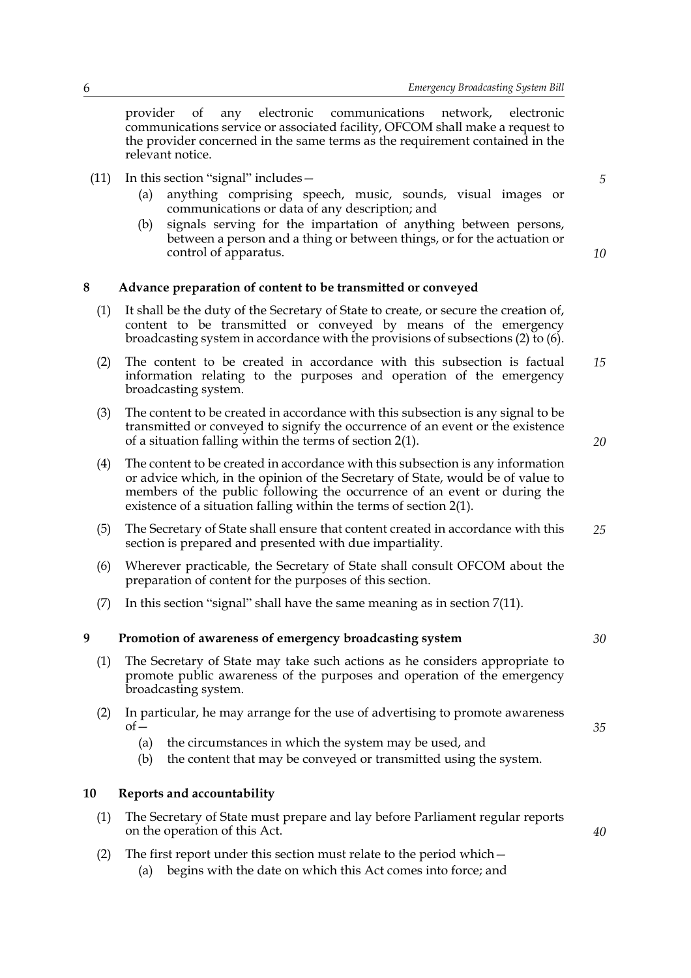provider of any electronic communications network, electronic communications service or associated facility, OFCOM shall make a request to the provider concerned in the same terms as the requirement contained in the relevant notice.

- (11) In this section "signal" includes—
	- (a) anything comprising speech, music, sounds, visual images or communications or data of any description; and
	- (b) signals serving for the impartation of anything between persons, between a person and a thing or between things, or for the actuation or control of apparatus.

### *10*

*5*

#### **8 Advance preparation of content to be transmitted or conveyed**

- (1) It shall be the duty of the Secretary of State to create, or secure the creation of, content to be transmitted or conveyed by means of the emergency broadcasting system in accordance with the provisions of subsections (2) to (6).
- (2) The content to be created in accordance with this subsection is factual information relating to the purposes and operation of the emergency broadcasting system. *15*
- (3) The content to be created in accordance with this subsection is any signal to be transmitted or conveyed to signify the occurrence of an event or the existence of a situation falling within the terms of section 2(1).
- (4) The content to be created in accordance with this subsection is any information or advice which, in the opinion of the Secretary of State, would be of value to members of the public following the occurrence of an event or during the existence of a situation falling within the terms of section 2(1).
- (5) The Secretary of State shall ensure that content created in accordance with this section is prepared and presented with due impartiality. *25*
- (6) Wherever practicable, the Secretary of State shall consult OFCOM about the preparation of content for the purposes of this section.
- (7) In this section "signal" shall have the same meaning as in section 7(11).

#### **9 Promotion of awareness of emergency broadcasting system**

- (1) The Secretary of State may take such actions as he considers appropriate to promote public awareness of the purposes and operation of the emergency broadcasting system.
- (2) In particular, he may arrange for the use of advertising to promote awareness  $of$ 
	- (a) the circumstances in which the system may be used, and
	- (b) the content that may be conveyed or transmitted using the system.

#### **10 Reports and accountability**

- (1) The Secretary of State must prepare and lay before Parliament regular reports on the operation of this Act.
- (2) The first report under this section must relate to the period which— (a) begins with the date on which this Act comes into force; and

*20*

*30*

*35*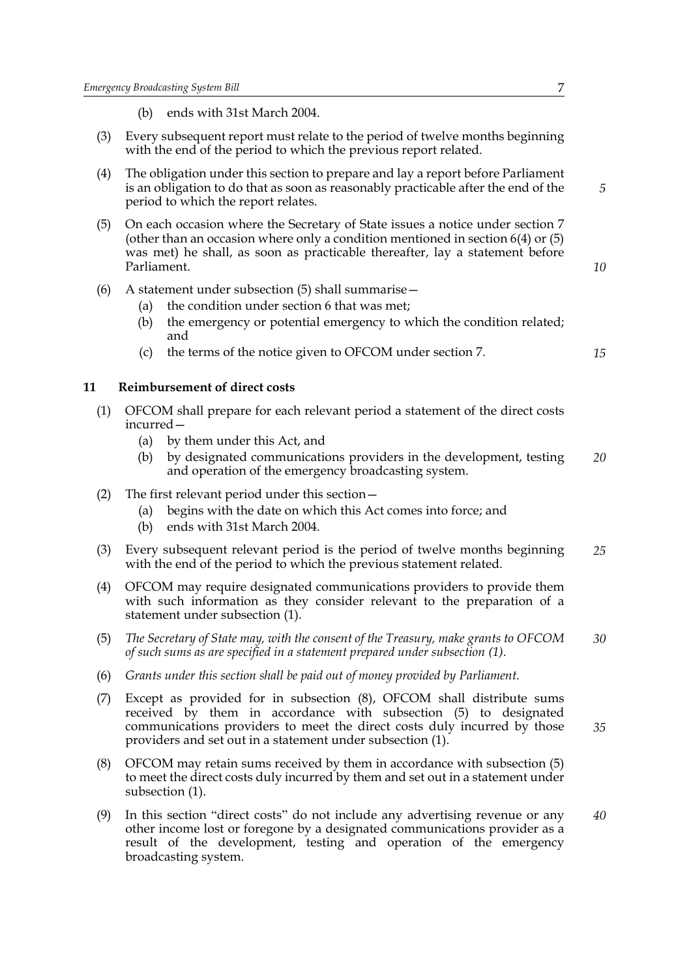- (b) ends with 31st March 2004.
- (3) Every subsequent report must relate to the period of twelve months beginning with the end of the period to which the previous report related.
- (4) The obligation under this section to prepare and lay a report before Parliament is an obligation to do that as soon as reasonably practicable after the end of the period to which the report relates.
- (5) On each occasion where the Secretary of State issues a notice under section 7 (other than an occasion where only a condition mentioned in section 6(4) or (5) was met) he shall, as soon as practicable thereafter, lay a statement before Parliament.
- (6) A statement under subsection (5) shall summarise—
	- (a) the condition under section 6 that was met;
	- (b) the emergency or potential emergency to which the condition related; and
	- (c) the terms of the notice given to OFCOM under section 7.

#### **11 Reimbursement of direct costs**

- (1) OFCOM shall prepare for each relevant period a statement of the direct costs incurred—
	- (a) by them under this Act, and
	- (b) by designated communications providers in the development, testing and operation of the emergency broadcasting system. *20*
- (2) The first relevant period under this section—
	- (a) begins with the date on which this Act comes into force; and
	- (b) ends with 31st March 2004.
- (3) Every subsequent relevant period is the period of twelve months beginning with the end of the period to which the previous statement related. *25*
- (4) OFCOM may require designated communications providers to provide them with such information as they consider relevant to the preparation of a statement under subsection (1).
- (5) *The Secretary of State may, with the consent of the Treasury, make grants to OFCOM of such sums as are specified in a statement prepared under subsection (1). 30*
- (6) *Grants under this section shall be paid out of money provided by Parliament.*
- (7) Except as provided for in subsection (8), OFCOM shall distribute sums received by them in accordance with subsection (5) to designated communications providers to meet the direct costs duly incurred by those providers and set out in a statement under subsection (1). *35*
- (8) OFCOM may retain sums received by them in accordance with subsection (5) to meet the direct costs duly incurred by them and set out in a statement under subsection (1).
- (9) In this section "direct costs" do not include any advertising revenue or any other income lost or foregone by a designated communications provider as a result of the development, testing and operation of the emergency broadcasting system. *40*

*5*

*10*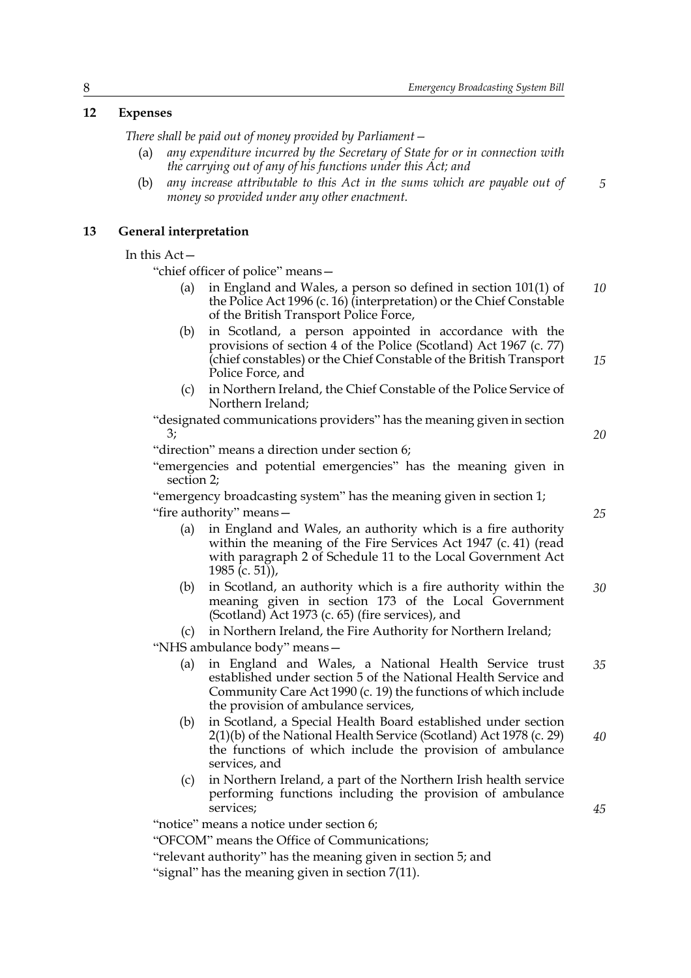#### **12 Expenses**

*There shall be paid out of money provided by Parliament—*

- (a) *any expenditure incurred by the Secretary of State for or in connection with the carrying out of any of his functions under this Act; and*
- (b) *any increase attributable to this Act in the sums which are payable out of money so provided under any other enactment.*

#### **13 General interpretation**

In this Act—

"chief officer of police" means—

- (a) in England and Wales, a person so defined in section 101(1) of the Police Act 1996 (c. 16) (interpretation) or the Chief Constable of the British Transport Police Force, *10*
- (b) in Scotland, a person appointed in accordance with the provisions of section 4 of the Police (Scotland) Act 1967 (c. 77) (chief constables) or the Chief Constable of the British Transport Police Force, and *15*
- (c) in Northern Ireland, the Chief Constable of the Police Service of Northern Ireland;

"designated communications providers" has the meaning given in section 3;

"direction" means a direction under section 6;

"emergencies and potential emergencies" has the meaning given in section 2;

"emergency broadcasting system" has the meaning given in section 1; "fire authority" means—

- (a) in England and Wales, an authority which is a fire authority within the meaning of the Fire Services Act 1947 (c. 41) (read with paragraph 2 of Schedule 11 to the Local Government Act 1985 (c. 51),
- (b) in Scotland, an authority which is a fire authority within the meaning given in section 173 of the Local Government (Scotland) Act 1973 (c. 65) (fire services), and *30*

(c) in Northern Ireland, the Fire Authority for Northern Ireland;

"NHS ambulance body" means—

- (a) in England and Wales, a National Health Service trust established under section 5 of the National Health Service and Community Care Act 1990 (c. 19) the functions of which include the provision of ambulance services, *35*
- (b) in Scotland, a Special Health Board established under section 2(1)(b) of the National Health Service (Scotland) Act 1978 (c. 29) the functions of which include the provision of ambulance services, and *40*
- (c) in Northern Ireland, a part of the Northern Irish health service performing functions including the provision of ambulance services;

"notice" means a notice under section 6;

"OFCOM" means the Office of Communications;

"relevant authority" has the meaning given in section 5; and

"signal" has the meaning given in section 7(11).

*25*

*20*

*5*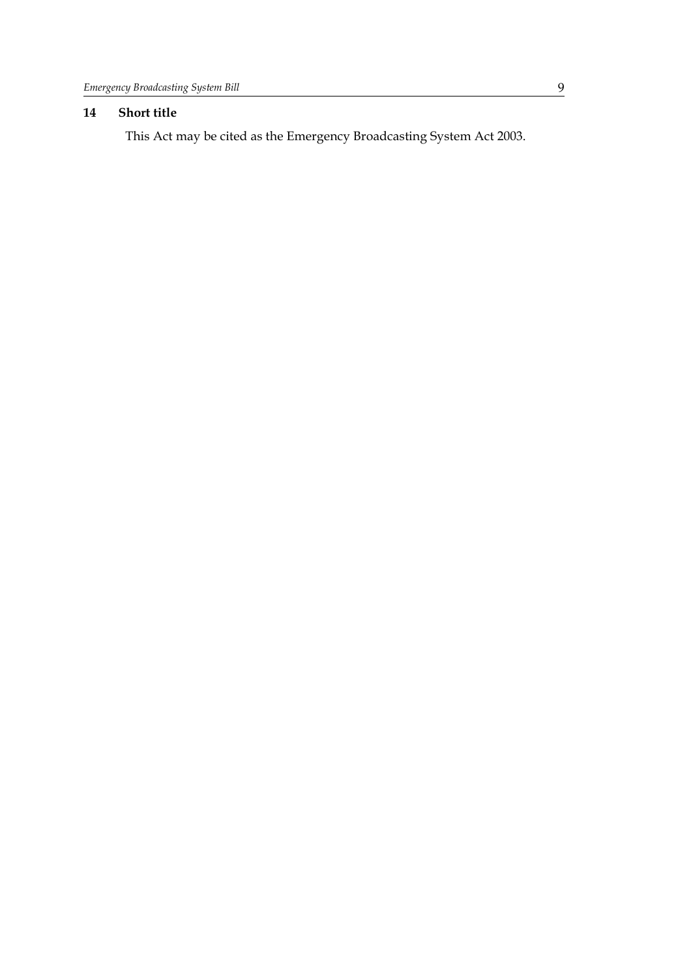### **14 Short title**

This Act may be cited as the Emergency Broadcasting System Act 2003.